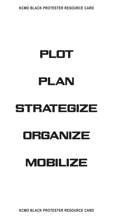**KCMO BLACK PROTESTER RESOURCE CARD**

# PLOT PLAN STRATEGIZE ORGANIZE **MOBILIZE**

**KCMO BLACK PROTESTER RESOURCE CARD**